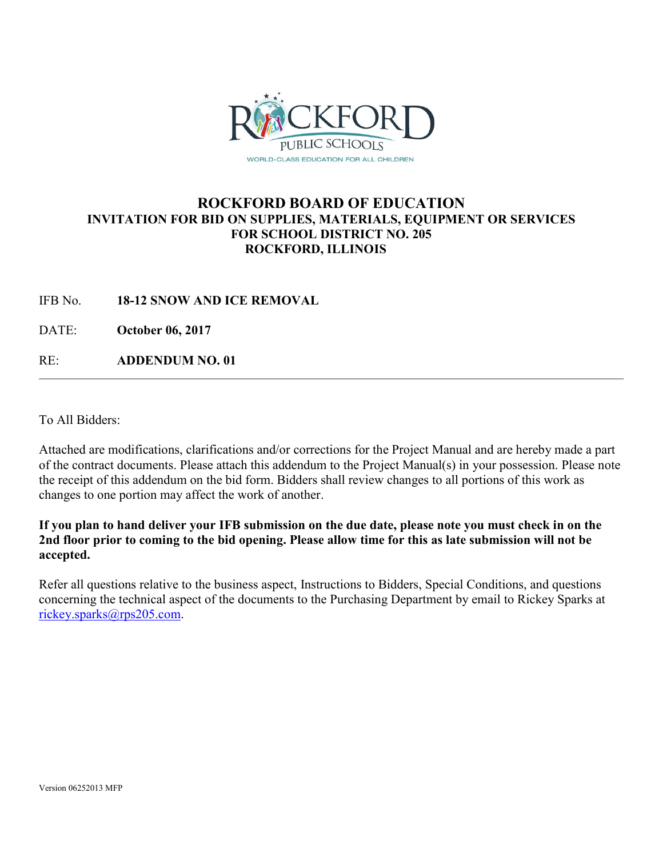

## **ROCKFORD BOARD OF EDUCATION INVITATION FOR BID ON SUPPLIES, MATERIALS, EQUIPMENT OR SERVICES FOR SCHOOL DISTRICT NO. 205 ROCKFORD, ILLINOIS**

IFB No. **18-12 SNOW AND ICE REMOVAL**

DATE: **October 06, 2017**

RE: **ADDENDUM NO. 01**

To All Bidders:

Attached are modifications, clarifications and/or corrections for the Project Manual and are hereby made a part of the contract documents. Please attach this addendum to the Project Manual(s) in your possession. Please note the receipt of this addendum on the bid form. Bidders shall review changes to all portions of this work as changes to one portion may affect the work of another.

**If you plan to hand deliver your IFB submission on the due date, please note you must check in on the 2nd floor prior to coming to the bid opening. Please allow time for this as late submission will not be accepted.**

Refer all questions relative to the business aspect, Instructions to Bidders, Special Conditions, and questions concerning the technical aspect of the documents to the Purchasing Department by email to Rickey Sparks at [rickey.sparks@rps205.com.](mailto:rickey.sparks@rps205.com)